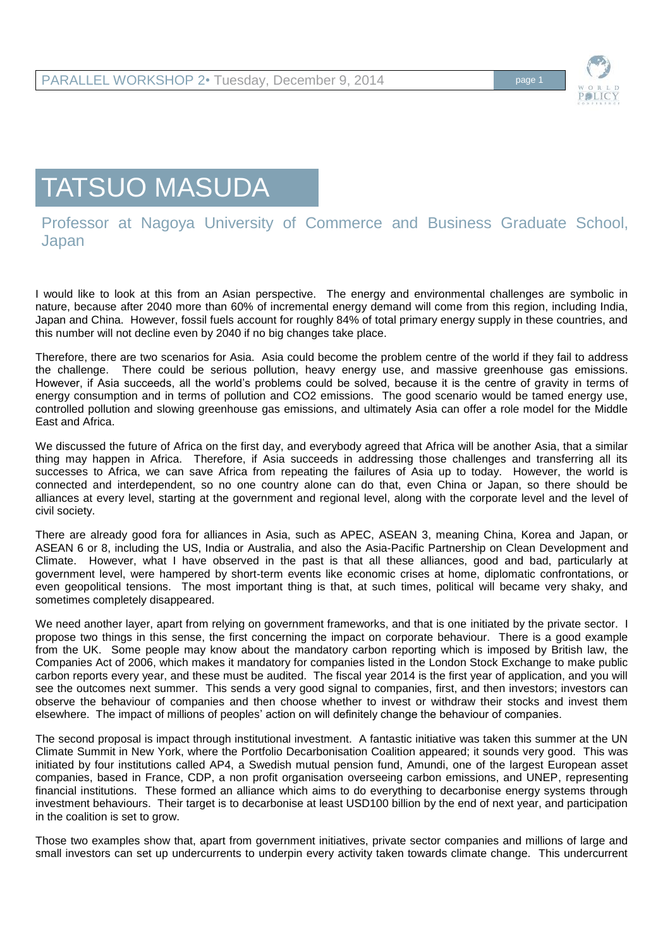

## TATSUO MASUDA

Professor at Nagoya University of Commerce and Business Graduate School, Japan

I would like to look at this from an Asian perspective. The energy and environmental challenges are symbolic in nature, because after 2040 more than 60% of incremental energy demand will come from this region, including India, Japan and China. However, fossil fuels account for roughly 84% of total primary energy supply in these countries, and this number will not decline even by 2040 if no big changes take place.

Therefore, there are two scenarios for Asia. Asia could become the problem centre of the world if they fail to address the challenge. There could be serious pollution, heavy energy use, and massive greenhouse gas emissions. However, if Asia succeeds, all the world's problems could be solved, because it is the centre of gravity in terms of energy consumption and in terms of pollution and CO2 emissions. The good scenario would be tamed energy use, controlled pollution and slowing greenhouse gas emissions, and ultimately Asia can offer a role model for the Middle East and Africa.

We discussed the future of Africa on the first day, and everybody agreed that Africa will be another Asia, that a similar thing may happen in Africa. Therefore, if Asia succeeds in addressing those challenges and transferring all its successes to Africa, we can save Africa from repeating the failures of Asia up to today. However, the world is connected and interdependent, so no one country alone can do that, even China or Japan, so there should be alliances at every level, starting at the government and regional level, along with the corporate level and the level of civil society.

There are already good fora for alliances in Asia, such as APEC, ASEAN 3, meaning China, Korea and Japan, or ASEAN 6 or 8, including the US, India or Australia, and also the Asia-Pacific Partnership on Clean Development and Climate. However, what I have observed in the past is that all these alliances, good and bad, particularly at government level, were hampered by short-term events like economic crises at home, diplomatic confrontations, or even geopolitical tensions. The most important thing is that, at such times, political will became very shaky, and sometimes completely disappeared.

We need another layer, apart from relying on government frameworks, and that is one initiated by the private sector. I propose two things in this sense, the first concerning the impact on corporate behaviour. There is a good example from the UK. Some people may know about the mandatory carbon reporting which is imposed by British law, the Companies Act of 2006, which makes it mandatory for companies listed in the London Stock Exchange to make public carbon reports every year, and these must be audited. The fiscal year 2014 is the first year of application, and you will see the outcomes next summer. This sends a very good signal to companies, first, and then investors; investors can observe the behaviour of companies and then choose whether to invest or withdraw their stocks and invest them elsewhere. The impact of millions of peoples' action on will definitely change the behaviour of companies.

The second proposal is impact through institutional investment. A fantastic initiative was taken this summer at the UN Climate Summit in New York, where the Portfolio Decarbonisation Coalition appeared; it sounds very good. This was initiated by four institutions called AP4, a Swedish mutual pension fund, Amundi, one of the largest European asset companies, based in France, CDP, a non profit organisation overseeing carbon emissions, and UNEP, representing financial institutions. These formed an alliance which aims to do everything to decarbonise energy systems through investment behaviours. Their target is to decarbonise at least USD100 billion by the end of next year, and participation in the coalition is set to grow.

Those two examples show that, apart from government initiatives, private sector companies and millions of large and small investors can set up undercurrents to underpin every activity taken towards climate change. This undercurrent